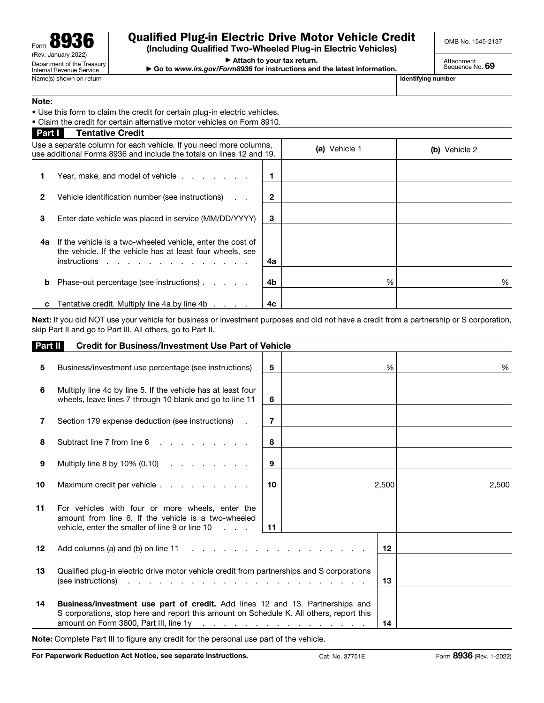## Qualified Plug-in Electric Drive Motor Vehicle Credit

(Including Qualified Two-Wheeled Plug-in Electric Vehicles)

▶ Attach to your tax return.

▶ Go to *www.irs.gov/Form8936* for instructions and the latest information.

OMB No. 1545-2137

Attachment<br>Sequence No. **69** 

## Note:

• Use this form to claim the credit for certain plug-in electric vehicles.

• Claim the credit for certain alternative motor vehicles on Form 8910.

| <b>Part I</b>                                                                                                                             | <b>Tentative Credit</b>                                                                                                                   |    |               |               |
|-------------------------------------------------------------------------------------------------------------------------------------------|-------------------------------------------------------------------------------------------------------------------------------------------|----|---------------|---------------|
| Use a separate column for each vehicle. If you need more columns,<br>use additional Forms 8936 and include the totals on lines 12 and 19. |                                                                                                                                           |    | (a) Vehicle 1 | (b) Vehicle 2 |
|                                                                                                                                           | Year, make, and model of vehicle                                                                                                          |    |               |               |
| 2                                                                                                                                         | Vehicle identification number (see instructions)<br>$\sim$                                                                                | 2  |               |               |
| 3                                                                                                                                         | Enter date vehicle was placed in service (MM/DD/YYYY)                                                                                     | 3  |               |               |
| 4a                                                                                                                                        | If the vehicle is a two-wheeled vehicle, enter the cost of<br>the vehicle. If the vehicle has at least four wheels, see<br>$instructions$ | 4a |               |               |
| b                                                                                                                                         | Phase-out percentage (see instructions)                                                                                                   | 4b | %             | %             |
|                                                                                                                                           | Tentative credit. Multiply line 4a by line 4b                                                                                             | 4с |               |               |

Next: If you did NOT use your vehicle for business or investment purposes and did not have a credit from a partnership or S corporation, skip Part II and go to Part III. All others, go to Part II.

|    | Part II<br><b>Credit for Business/Investment Use Part of Vehicle</b>                                                                                                                                                                                                                                                                               |                |  |       |       |  |  |
|----|----------------------------------------------------------------------------------------------------------------------------------------------------------------------------------------------------------------------------------------------------------------------------------------------------------------------------------------------------|----------------|--|-------|-------|--|--|
| 5  | Business/investment use percentage (see instructions)                                                                                                                                                                                                                                                                                              | 5              |  | %     | %     |  |  |
| 6  | Multiply line 4c by line 5. If the vehicle has at least four<br>wheels, leave lines 7 through 10 blank and go to line 11                                                                                                                                                                                                                           | 6              |  |       |       |  |  |
| 7  | Section 179 expense deduction (see instructions)                                                                                                                                                                                                                                                                                                   | $\overline{7}$ |  |       |       |  |  |
| 8  | Subtract line 7 from line 6                                                                                                                                                                                                                                                                                                                        | 8              |  |       |       |  |  |
| 9  | Multiply line 8 by 10% $(0.10)$                                                                                                                                                                                                                                                                                                                    | 9              |  |       |       |  |  |
| 10 | Maximum credit per vehicle                                                                                                                                                                                                                                                                                                                         | 10             |  | 2,500 | 2,500 |  |  |
| 11 | For vehicles with four or more wheels, enter the<br>amount from line 6. If the vehicle is a two-wheeled<br>vehicle, enter the smaller of line $9$ or line $10 \ldots$ .                                                                                                                                                                            | $-11$          |  |       |       |  |  |
| 12 | Add columns (a) and (b) on line $11 \ldots \ldots \ldots \ldots \ldots \ldots \ldots$                                                                                                                                                                                                                                                              |                |  | 12    |       |  |  |
| 13 | Qualified plug-in electric drive motor vehicle credit from partnerships and S corporations<br>(see instructions)<br>and the company of the company of the company of the company of the company of the company of the company of the company of the company of the company of the company of the company of the company of the company of the comp |                |  |       |       |  |  |
| 14 | <b>Business/investment use part of credit.</b> Add lines 12 and 13. Partnerships and<br>S corporations, stop here and report this amount on Schedule K. All others, report this<br>amount on Form 3800, Part III, line 1y<br>and the contract of the contract of the contract of the                                                               |                |  |       |       |  |  |

Note: Complete Part III to figure any credit for the personal use part of the vehicle.